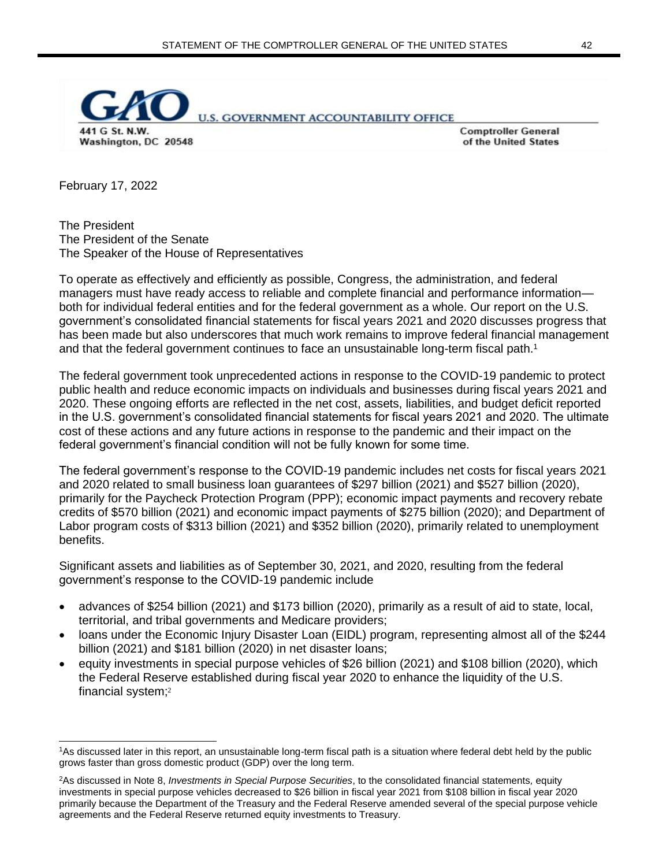

**Comptroller General** of the United States

February 17, 2022

The President The President of the Senate The Speaker of the House of Representatives

To operate as effectively and efficiently as possible, Congress, the administration, and federal managers must have ready access to reliable and complete financial and performance information both for individual federal entities and for the federal government as a whole. Our report on the U.S. government's consolidated financial statements for fiscal years 2021 and 2020 discusses progress that has been made but also underscores that much work remains to improve federal financial management and that the federal government continues to face an unsustainable long-term fiscal path.<sup>1</sup>

The federal government took unprecedented actions in response to the COVID-19 pandemic to protect public health and reduce economic impacts on individuals and businesses during fiscal years 2021 and 2020. These ongoing efforts are reflected in the net cost, assets, liabilities, and budget deficit reported in the U.S. government's consolidated financial statements for fiscal years 2021 and 2020. The ultimate cost of these actions and any future actions in response to the pandemic and their impact on the federal government's financial condition will not be fully known for some time.

The federal government's response to the COVID-19 pandemic includes net costs for fiscal years 2021 and 2020 related to small business loan guarantees of \$297 billion (2021) and \$527 billion (2020), primarily for the Paycheck Protection Program (PPP); economic impact payments and recovery rebate credits of \$570 billion (2021) and economic impact payments of \$275 billion (2020); and Department of Labor program costs of \$313 billion (2021) and \$352 billion (2020), primarily related to unemployment benefits.

Significant assets and liabilities as of September 30, 2021, and 2020, resulting from the federal government's response to the COVID-19 pandemic include

- advances of \$254 billion (2021) and \$173 billion (2020), primarily as a result of aid to state, local, territorial, and tribal governments and Medicare providers;
- loans under the Economic Injury Disaster Loan (EIDL) program, representing almost all of the \$244 billion (2021) and \$181 billion (2020) in net disaster loans;
- equity investments in special purpose vehicles of \$26 billion (2021) and \$108 billion (2020), which the Federal Reserve established during fiscal year 2020 to enhance the liquidity of the U.S. financial system;<sup>2</sup>

<sup>1</sup>As discussed later in this report, an unsustainable long-term fiscal path is a situation where federal debt held by the public grows faster than gross domestic product (GDP) over the long term.

<sup>2</sup>As discussed in Note 8, *Investments in Special Purpose Securities*, to the consolidated financial statements*,* equity investments in special purpose vehicles decreased to \$26 billion in fiscal year 2021 from \$108 billion in fiscal year 2020 primarily because the Department of the Treasury and the Federal Reserve amended several of the special purpose vehicle agreements and the Federal Reserve returned equity investments to Treasury.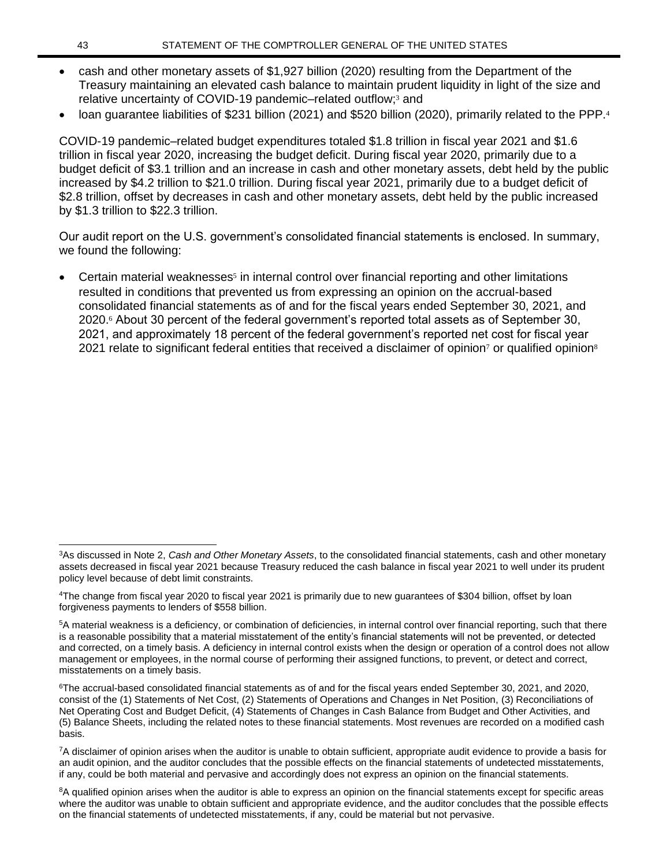- cash and other monetary assets of \$1,927 billion (2020) resulting from the Department of the Treasury maintaining an elevated cash balance to maintain prudent liquidity in light of the size and relative uncertainty of COVID-19 pandemic–related outflow;<sup>3</sup> and
- loan guarantee liabilities of \$231 billion (2021) and \$520 billion (2020), primarily related to the PPP.<sup>4</sup>

COVID-19 pandemic–related budget expenditures totaled \$1.8 trillion in fiscal year 2021 and \$1.6 trillion in fiscal year 2020, increasing the budget deficit. During fiscal year 2020, primarily due to a budget deficit of \$3.1 trillion and an increase in cash and other monetary assets, debt held by the public increased by \$4.2 trillion to \$21.0 trillion. During fiscal year 2021, primarily due to a budget deficit of \$2.8 trillion, offset by decreases in cash and other monetary assets, debt held by the public increased by \$1.3 trillion to \$22.3 trillion.

Our audit report on the U.S. government's consolidated financial statements is enclosed. In summary, we found the following:

• Certain material weaknesses<sup>5</sup> in internal control over financial reporting and other limitations resulted in conditions that prevented us from expressing an opinion on the accrual-based consolidated financial statements as of and for the fiscal years ended September 30, 2021, and 2020.<sup>6</sup> About 30 percent of the federal government's reported total assets as of September 30, 2021, and approximately 18 percent of the federal government's reported net cost for fiscal year 2021 relate to significant federal entities that received a disclaimer of opinion<sup>7</sup> or qualified opinion<sup>8</sup>

<sup>3</sup>As discussed in Note 2, *Cash and Other Monetary Assets*, to the consolidated financial statements, cash and other monetary assets decreased in fiscal year 2021 because Treasury reduced the cash balance in fiscal year 2021 to well under its prudent policy level because of debt limit constraints.

<sup>4</sup>The change from fiscal year 2020 to fiscal year 2021 is primarily due to new guarantees of \$304 billion, offset by loan forgiveness payments to lenders of \$558 billion.

<sup>5</sup>A material weakness is a deficiency, or combination of deficiencies, in internal control over financial reporting, such that there is a reasonable possibility that a material misstatement of the entity's financial statements will not be prevented, or detected and corrected, on a timely basis. A deficiency in internal control exists when the design or operation of a control does not allow management or employees, in the normal course of performing their assigned functions, to prevent, or detect and correct, misstatements on a timely basis.

<sup>6</sup>The accrual-based consolidated financial statements as of and for the fiscal years ended September 30, 2021, and 2020, consist of the (1) Statements of Net Cost, (2) Statements of Operations and Changes in Net Position, (3) Reconciliations of Net Operating Cost and Budget Deficit, (4) Statements of Changes in Cash Balance from Budget and Other Activities, and (5) Balance Sheets, including the related notes to these financial statements. Most revenues are recorded on a modified cash basis.

<sup>7</sup>A disclaimer of opinion arises when the auditor is unable to obtain sufficient, appropriate audit evidence to provide a basis for an audit opinion, and the auditor concludes that the possible effects on the financial statements of undetected misstatements, if any, could be both material and pervasive and accordingly does not express an opinion on the financial statements.

<sup>&</sup>lt;sup>8</sup>A qualified opinion arises when the auditor is able to express an opinion on the financial statements except for specific areas where the auditor was unable to obtain sufficient and appropriate evidence, and the auditor concludes that the possible effects on the financial statements of undetected misstatements, if any, could be material but not pervasive.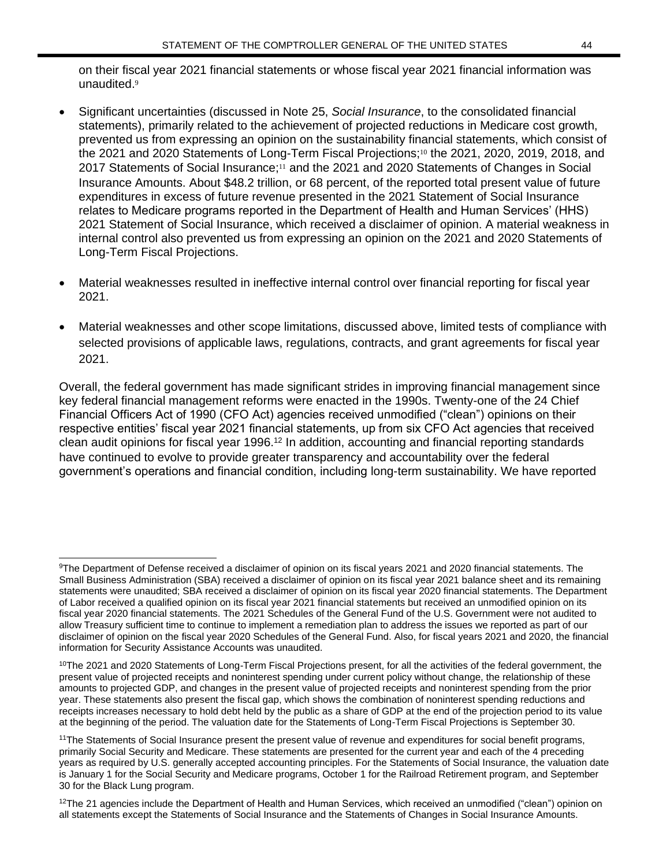on their fiscal year 2021 financial statements or whose fiscal year 2021 financial information was unaudited.<sup>9</sup>

- Significant uncertainties (discussed in Note 25, *Social Insurance*, to the consolidated financial statements), primarily related to the achievement of projected reductions in Medicare cost growth, prevented us from expressing an opinion on the sustainability financial statements, which consist of the 2021 and 2020 Statements of Long-Term Fiscal Projections;<sup>10</sup> the 2021, 2020, 2019, 2018, and 2017 Statements of Social Insurance;<sup>11</sup> and the 2021 and 2020 Statements of Changes in Social Insurance Amounts. About \$48.2 trillion, or 68 percent, of the reported total present value of future expenditures in excess of future revenue presented in the 2021 Statement of Social Insurance relates to Medicare programs reported in the Department of Health and Human Services' (HHS) 2021 Statement of Social Insurance, which received a disclaimer of opinion. A material weakness in internal control also prevented us from expressing an opinion on the 2021 and 2020 Statements of Long-Term Fiscal Projections.
- Material weaknesses resulted in ineffective internal control over financial reporting for fiscal year 2021.
- Material weaknesses and other scope limitations, discussed above, limited tests of compliance with selected provisions of applicable laws, regulations, contracts, and grant agreements for fiscal year 2021.

Overall, the federal government has made significant strides in improving financial management since key federal financial management reforms were enacted in the 1990s. Twenty-one of the 24 Chief Financial Officers Act of 1990 (CFO Act) agencies received unmodified ("clean") opinions on their respective entities' fiscal year 2021 financial statements, up from six CFO Act agencies that received clean audit opinions for fiscal year 1996.<sup>12</sup> In addition, accounting and financial reporting standards have continued to evolve to provide greater transparency and accountability over the federal government's operations and financial condition, including long-term sustainability. We have reported

<sup>9</sup>The Department of Defense received a disclaimer of opinion on its fiscal years 2021 and 2020 financial statements. The Small Business Administration (SBA) received a disclaimer of opinion on its fiscal year 2021 balance sheet and its remaining statements were unaudited; SBA received a disclaimer of opinion on its fiscal year 2020 financial statements. The Department of Labor received a qualified opinion on its fiscal year 2021 financial statements but received an unmodified opinion on its fiscal year 2020 financial statements. The 2021 Schedules of the General Fund of the U.S. Government were not audited to allow Treasury sufficient time to continue to implement a remediation plan to address the issues we reported as part of our disclaimer of opinion on the fiscal year 2020 Schedules of the General Fund. Also, for fiscal years 2021 and 2020, the financial information for Security Assistance Accounts was unaudited.

<sup>&</sup>lt;sup>10</sup>The 2021 and 2020 Statements of Long-Term Fiscal Projections present, for all the activities of the federal government, the present value of projected receipts and noninterest spending under current policy without change, the relationship of these amounts to projected GDP, and changes in the present value of projected receipts and noninterest spending from the prior year. These statements also present the fiscal gap, which shows the combination of noninterest spending reductions and receipts increases necessary to hold debt held by the public as a share of GDP at the end of the projection period to its value at the beginning of the period. The valuation date for the Statements of Long-Term Fiscal Projections is September 30.

<sup>&</sup>lt;sup>11</sup>The Statements of Social Insurance present the present value of revenue and expenditures for social benefit programs, primarily Social Security and Medicare. These statements are presented for the current year and each of the 4 preceding years as required by U.S. generally accepted accounting principles. For the Statements of Social Insurance, the valuation date is January 1 for the Social Security and Medicare programs, October 1 for the Railroad Retirement program, and September 30 for the Black Lung program.

 $12$ The 21 agencies include the Department of Health and Human Services, which received an unmodified ("clean") opinion on all statements except the Statements of Social Insurance and the Statements of Changes in Social Insurance Amounts.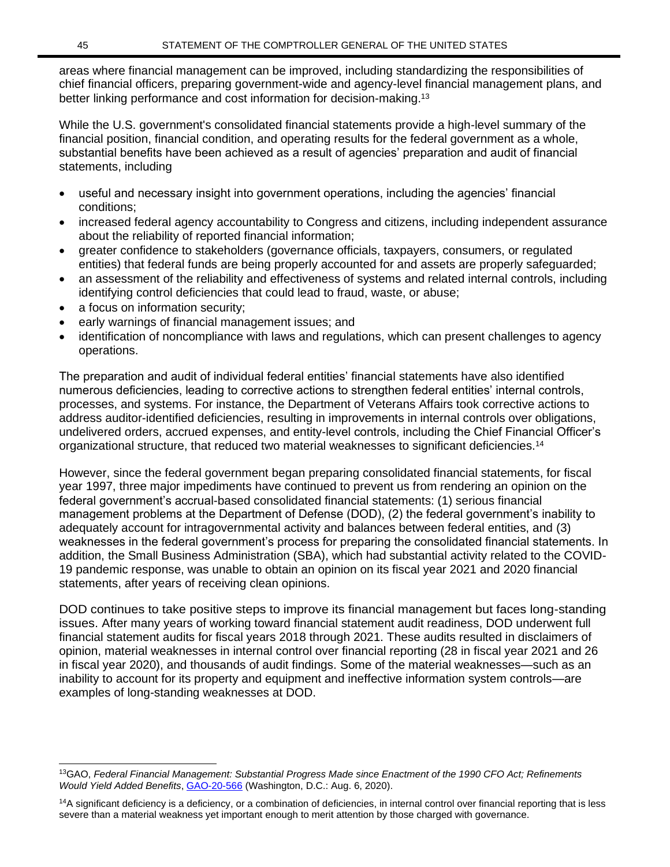areas where financial management can be improved, including standardizing the responsibilities of chief financial officers, preparing government-wide and agency-level financial management plans, and better linking performance and cost information for decision-making.<sup>13</sup>

While the U.S. government's consolidated financial statements provide a high-level summary of the financial position, financial condition, and operating results for the federal government as a whole, substantial benefits have been achieved as a result of agencies' preparation and audit of financial statements, including

- useful and necessary insight into government operations, including the agencies' financial conditions;
- increased federal agency accountability to Congress and citizens, including independent assurance about the reliability of reported financial information;
- greater confidence to stakeholders (governance officials, taxpayers, consumers, or regulated entities) that federal funds are being properly accounted for and assets are properly safeguarded;
- an assessment of the reliability and effectiveness of systems and related internal controls, including identifying control deficiencies that could lead to fraud, waste, or abuse;
- a focus on information security;
- early warnings of financial management issues; and
- identification of noncompliance with laws and regulations, which can present challenges to agency operations.

The preparation and audit of individual federal entities' financial statements have also identified numerous deficiencies, leading to corrective actions to strengthen federal entities' internal controls, processes, and systems. For instance, the Department of Veterans Affairs took corrective actions to address auditor-identified deficiencies, resulting in improvements in internal controls over obligations, undelivered orders, accrued expenses, and entity-level controls, including the Chief Financial Officer's organizational structure, that reduced two material weaknesses to significant deficiencies.<sup>14</sup>

However, since the federal government began preparing consolidated financial statements, for fiscal year 1997, three major impediments have continued to prevent us from rendering an opinion on the federal government's accrual-based consolidated financial statements: (1) serious financial management problems at the Department of Defense (DOD), (2) the federal government's inability to adequately account for intragovernmental activity and balances between federal entities, and (3) weaknesses in the federal government's process for preparing the consolidated financial statements. In addition, the Small Business Administration (SBA), which had substantial activity related to the COVID-19 pandemic response, was unable to obtain an opinion on its fiscal year 2021 and 2020 financial statements, after years of receiving clean opinions.

DOD continues to take positive steps to improve its financial management but faces long-standing issues. After many years of working toward financial statement audit readiness, DOD underwent full financial statement audits for fiscal years 2018 through 2021. These audits resulted in disclaimers of opinion, material weaknesses in internal control over financial reporting (28 in fiscal year 2021 and 26 in fiscal year 2020), and thousands of audit findings. Some of the material weaknesses—such as an inability to account for its property and equipment and ineffective information system controls—are examples of long-standing weaknesses at DOD.

<sup>13</sup>GAO, *Federal Financial Management: Substantial Progress Made since Enactment of the 1990 CFO Act; Refinements Would Yield Added Benefits*[, GAO-20-566](https://www.gao.gov/products/GAO-20-566) (Washington, D.C.: Aug. 6, 2020).

<sup>&</sup>lt;sup>14</sup>A significant deficiency is a deficiency, or a combination of deficiencies, in internal control over financial reporting that is less severe than a material weakness yet important enough to merit attention by those charged with governance.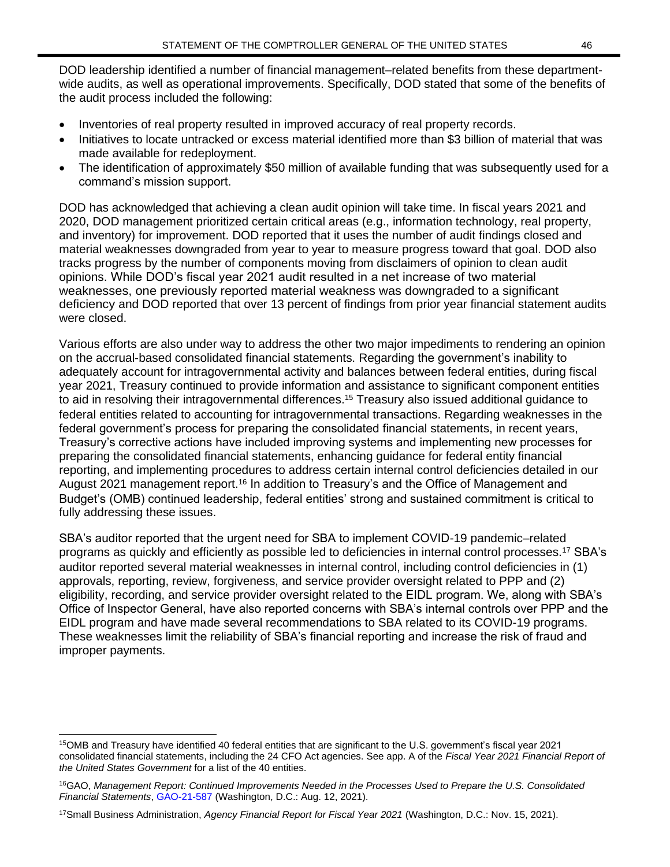DOD leadership identified a number of financial management–related benefits from these departmentwide audits, as well as operational improvements. Specifically, DOD stated that some of the benefits of the audit process included the following:

- Inventories of real property resulted in improved accuracy of real property records.
- Initiatives to locate untracked or excess material identified more than \$3 billion of material that was made available for redeployment.
- The identification of approximately \$50 million of available funding that was subsequently used for a command's mission support.

DOD has acknowledged that achieving a clean audit opinion will take time. In fiscal years 2021 and 2020, DOD management prioritized certain critical areas (e.g., information technology, real property, and inventory) for improvement. DOD reported that it uses the number of audit findings closed and material weaknesses downgraded from year to year to measure progress toward that goal. DOD also tracks progress by the number of components moving from disclaimers of opinion to clean audit opinions. While DOD's fiscal year 2021 audit resulted in a net increase of two material weaknesses, one previously reported material weakness was downgraded to a significant deficiency and DOD reported that over 13 percent of findings from prior year financial statement audits were closed.

Various efforts are also under way to address the other two major impediments to rendering an opinion on the accrual-based consolidated financial statements. Regarding the government's inability to adequately account for intragovernmental activity and balances between federal entities, during fiscal year 2021, Treasury continued to provide information and assistance to significant component entities to aid in resolving their intragovernmental differences.<sup>15</sup> Treasury also issued additional guidance to federal entities related to accounting for intragovernmental transactions. Regarding weaknesses in the federal government's process for preparing the consolidated financial statements, in recent years, Treasury's corrective actions have included improving systems and implementing new processes for preparing the consolidated financial statements, enhancing guidance for federal entity financial reporting, and implementing procedures to address certain internal control deficiencies detailed in our August 2021 management report.<sup>16</sup> In addition to Treasury's and the Office of Management and Budget's (OMB) continued leadership, federal entities' strong and sustained commitment is critical to fully addressing these issues.

SBA's auditor reported that the urgent need for SBA to implement COVID-19 pandemic–related programs as quickly and efficiently as possible led to deficiencies in internal control processes.<sup>17</sup> SBA's auditor reported several material weaknesses in internal control, including control deficiencies in (1) approvals, reporting, review, forgiveness, and service provider oversight related to PPP and (2) eligibility, recording, and service provider oversight related to the EIDL program. We, along with SBA's Office of Inspector General, have also reported concerns with SBA's internal controls over PPP and the EIDL program and have made several recommendations to SBA related to its COVID-19 programs. These weaknesses limit the reliability of SBA's financial reporting and increase the risk of fraud and improper payments.

<sup>15</sup>OMB and Treasury have identified 40 federal entities that are significant to the U.S. government's fiscal year 2021 consolidated financial statements, including the 24 CFO Act agencies. See app. A of the *Fiscal Year 2021 Financial Report of the United States Government* for a list of the 40 entities.

<sup>16</sup>GAO, *Management Report: Continued Improvements Needed in the Processes Used to Prepare the U.S. Consolidated Financial Statements*, [GAO-21-587](https://www.gao.gov/products/gao-21-587) (Washington, D.C.: Aug. 12, 2021).

<sup>17</sup>Small Business Administration, *Agency Financial Report for Fiscal Year 2021* (Washington, D.C.: Nov. 15, 2021).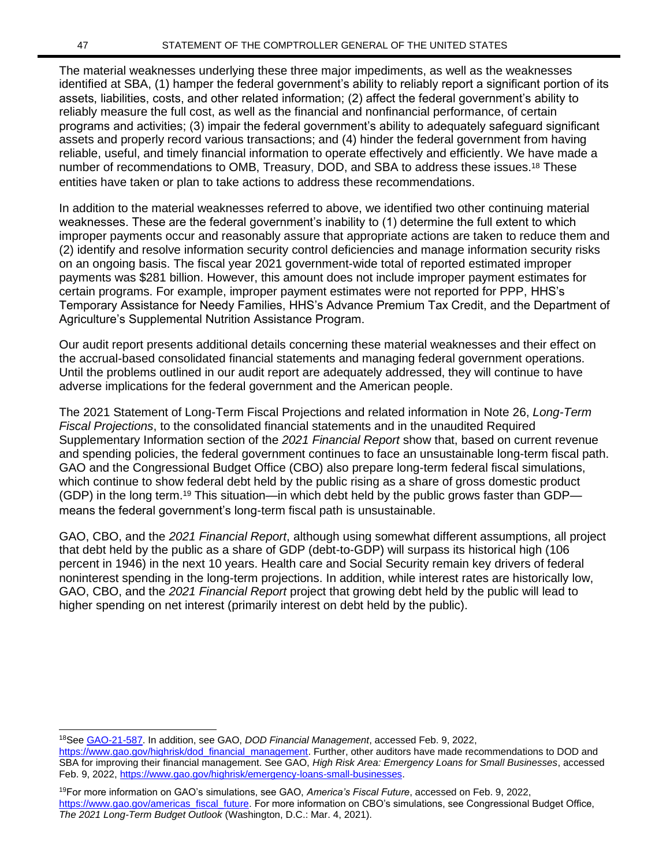The material weaknesses underlying these three major impediments, as well as the weaknesses identified at SBA, (1) hamper the federal government's ability to reliably report a significant portion of its assets, liabilities, costs, and other related information; (2) affect the federal government's ability to reliably measure the full cost, as well as the financial and nonfinancial performance, of certain programs and activities; (3) impair the federal government's ability to adequately safeguard significant assets and properly record various transactions; and (4) hinder the federal government from having reliable, useful, and timely financial information to operate effectively and efficiently. We have made a number of recommendations to OMB, Treasury, DOD, and SBA to address these issues.<sup>18</sup> These entities have taken or plan to take actions to address these recommendations.

In addition to the material weaknesses referred to above, we identified two other continuing material weaknesses. These are the federal government's inability to (1) determine the full extent to which improper payments occur and reasonably assure that appropriate actions are taken to reduce them and (2) identify and resolve information security control deficiencies and manage information security risks on an ongoing basis. The fiscal year 2021 government-wide total of reported estimated improper payments was \$281 billion. However, this amount does not include improper payment estimates for certain programs. For example, improper payment estimates were not reported for PPP, HHS's Temporary Assistance for Needy Families, HHS's Advance Premium Tax Credit, and the Department of Agriculture's Supplemental Nutrition Assistance Program.

Our audit report presents additional details concerning these material weaknesses and their effect on the accrual-based consolidated financial statements and managing federal government operations. Until the problems outlined in our audit report are adequately addressed, they will continue to have adverse implications for the federal government and the American people.

The 2021 Statement of Long-Term Fiscal Projections and related information in Note 26, *Long-Term Fiscal Projections*, to the consolidated financial statements and in the unaudited Required Supplementary Information section of the *2021 Financial Report* show that, based on current revenue and spending policies, the federal government continues to face an unsustainable long-term fiscal path. GAO and the Congressional Budget Office (CBO) also prepare long-term federal fiscal simulations, which continue to show federal debt held by the public rising as a share of gross domestic product (GDP) in the long term.<sup>19</sup> This situation—in which debt held by the public grows faster than GDP means the federal government's long-term fiscal path is unsustainable.

GAO, CBO, and the *2021 Financial Report*, although using somewhat different assumptions, all project that debt held by the public as a share of GDP (debt-to-GDP) will surpass its historical high (106 percent in 1946) in the next 10 years. Health care and Social Security remain key drivers of federal noninterest spending in the long-term projections. In addition, while interest rates are historically low, GAO, CBO, and the *2021 Financial Report* project that growing debt held by the public will lead to higher spending on net interest (primarily interest on debt held by the public).

<sup>18</sup>See [GAO-21-587.](https://www.gao.gov/products/gao-21-587) In addition, see GAO, *DOD Financial Management*, accessed Feb. 9, 2022,

[https://www.gao.gov/highrisk/dod\\_financial\\_management.](https://www.gao.gov/highrisk/dod_financial_management/why_did_study) Further, other auditors have made recommendations to DOD and SBA for improving their financial management. See GAO, *High Risk Area: Emergency Loans for Small Businesses*, accessed Feb. 9, 2022[, https://www.gao.gov/highrisk/emergency-loans-small-businesses.](https://www.gao.gov/highrisk/emergency-loans-small-businesses)

<sup>19</sup>For more information on GAO's simulations, see GAO, *America's Fiscal Future*, accessed on Feb. 9, 2022, [https://www.gao.gov/americas\\_fiscal\\_future.](https://www.gao.gov/americas_fiscal_future) For more information on CBO's simulations, see Congressional Budget Office, *The 2021 Long-Term Budget Outlook* (Washington, D.C.: Mar. 4, 2021).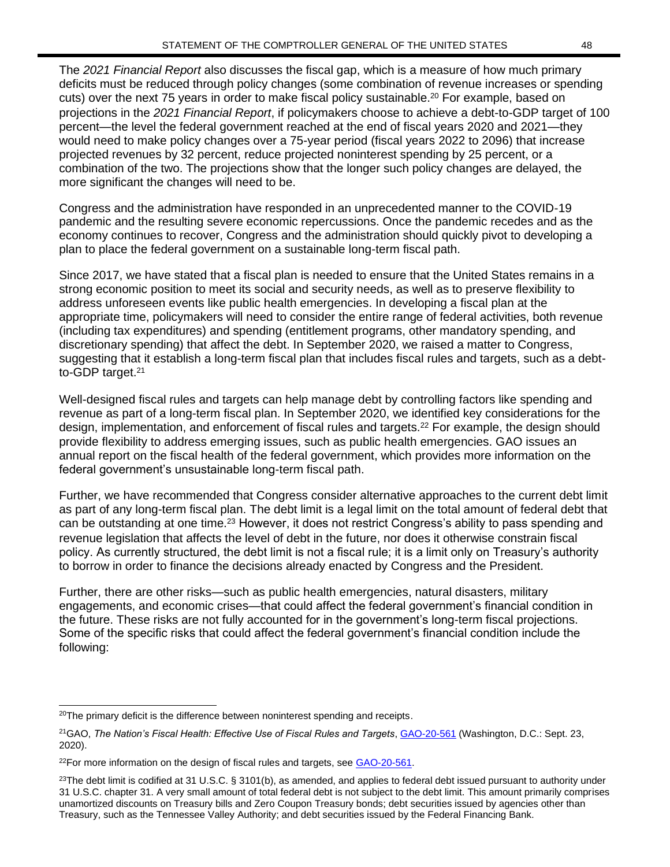The *2021 Financial Report* also discusses the fiscal gap, which is a measure of how much primary deficits must be reduced through policy changes (some combination of revenue increases or spending cuts) over the next 75 years in order to make fiscal policy sustainable.<sup>20</sup> For example, based on projections in the *2021 Financial Report*, if policymakers choose to achieve a debt-to-GDP target of 100 percent—the level the federal government reached at the end of fiscal years 2020 and 2021—they would need to make policy changes over a 75-year period (fiscal years 2022 to 2096) that increase projected revenues by 32 percent, reduce projected noninterest spending by 25 percent, or a combination of the two. The projections show that the longer such policy changes are delayed, the more significant the changes will need to be.

Congress and the administration have responded in an unprecedented manner to the COVID-19 pandemic and the resulting severe economic repercussions. Once the pandemic recedes and as the economy continues to recover, Congress and the administration should quickly pivot to developing a plan to place the federal government on a sustainable long-term fiscal path.

Since 2017, we have stated that a fiscal plan is needed to ensure that the United States remains in a strong economic position to meet its social and security needs, as well as to preserve flexibility to address unforeseen events like public health emergencies. In developing a fiscal plan at the appropriate time, policymakers will need to consider the entire range of federal activities, both revenue (including tax expenditures) and spending (entitlement programs, other mandatory spending, and discretionary spending) that affect the debt. In September 2020, we raised a matter to Congress, suggesting that it establish a long-term fiscal plan that includes fiscal rules and targets, such as a debtto-GDP target.<sup>21</sup>

Well-designed fiscal rules and targets can help manage debt by controlling factors like spending and revenue as part of a long-term fiscal plan. In September 2020, we identified key considerations for the design, implementation, and enforcement of fiscal rules and targets.<sup>22</sup> For example, the design should provide flexibility to address emerging issues, such as public health emergencies. GAO issues an annual report on the fiscal health of the federal government, which provides more information on the federal government's unsustainable long-term fiscal path.

Further, we have recommended that Congress consider alternative approaches to the current debt limit as part of any long-term fiscal plan. The debt limit is a legal limit on the total amount of federal debt that can be outstanding at one time.<sup>23</sup> However, it does not restrict Congress's ability to pass spending and revenue legislation that affects the level of debt in the future, nor does it otherwise constrain fiscal policy. As currently structured, the debt limit is not a fiscal rule; it is a limit only on Treasury's authority to borrow in order to finance the decisions already enacted by Congress and the President.

Further, there are other risks—such as public health emergencies, natural disasters, military engagements, and economic crises—that could affect the federal government's financial condition in the future. These risks are not fully accounted for in the government's long-term fiscal projections. Some of the specific risks that could affect the federal government's financial condition include the following:

<sup>&</sup>lt;sup>20</sup>The primary deficit is the difference between noninterest spending and receipts.

<sup>21</sup>GAO, *The Nation's Fiscal Health: Effective Use of Fiscal Rules and Targets*, [GAO-20-561](https://www.gao.gov/products/gao-20-561) (Washington, D.C.: Sept. 23, 2020).

 $22$ For more information on the design of fiscal rules and targets, see [GAO-20-561.](https://www.gao.gov/products/gao-20-561)

 $^{23}$ The debt limit is codified at 31 U.S.C. § 3101(b), as amended, and applies to federal debt issued pursuant to authority under 31 U.S.C. chapter 31. A very small amount of total federal debt is not subject to the debt limit. This amount primarily comprises unamortized discounts on Treasury bills and Zero Coupon Treasury bonds; debt securities issued by agencies other than Treasury, such as the Tennessee Valley Authority; and debt securities issued by the Federal Financing Bank.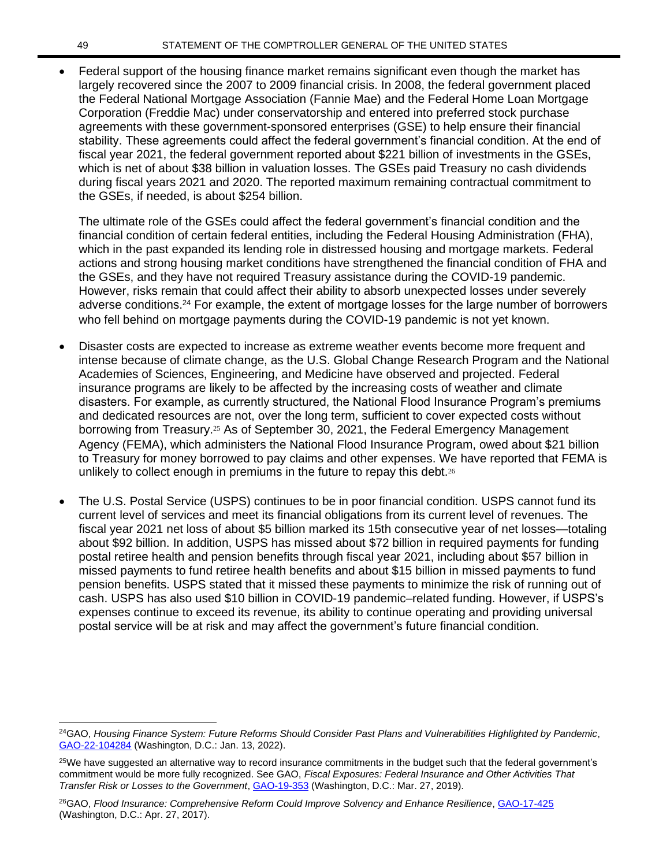• Federal support of the housing finance market remains significant even though the market has largely recovered since the 2007 to 2009 financial crisis. In 2008, the federal government placed the Federal National Mortgage Association (Fannie Mae) and the Federal Home Loan Mortgage Corporation (Freddie Mac) under conservatorship and entered into preferred stock purchase agreements with these government-sponsored enterprises (GSE) to help ensure their financial stability. These agreements could affect the federal government's financial condition. At the end of fiscal year 2021, the federal government reported about \$221 billion of investments in the GSEs, which is net of about \$38 billion in valuation losses. The GSEs paid Treasury no cash dividends during fiscal years 2021 and 2020. The reported maximum remaining contractual commitment to the GSEs, if needed, is about \$254 billion.

The ultimate role of the GSEs could affect the federal government's financial condition and the financial condition of certain federal entities, including the Federal Housing Administration (FHA), which in the past expanded its lending role in distressed housing and mortgage markets. Federal actions and strong housing market conditions have strengthened the financial condition of FHA and the GSEs, and they have not required Treasury assistance during the COVID-19 pandemic. However, risks remain that could affect their ability to absorb unexpected losses under severely adverse conditions.<sup>24</sup> For example, the extent of mortgage losses for the large number of borrowers who fell behind on mortgage payments during the COVID-19 pandemic is not yet known.

- Disaster costs are expected to increase as extreme weather events become more frequent and intense because of climate change, as the U.S. Global Change Research Program and the National Academies of Sciences, Engineering, and Medicine have observed and projected. Federal insurance programs are likely to be affected by the increasing costs of weather and climate disasters. For example, as currently structured, the National Flood Insurance Program's premiums and dedicated resources are not, over the long term, sufficient to cover expected costs without borrowing from Treasury.<sup>25</sup> As of September 30, 2021, the Federal Emergency Management Agency (FEMA), which administers the National Flood Insurance Program, owed about \$21 billion to Treasury for money borrowed to pay claims and other expenses. We have reported that FEMA is unlikely to collect enough in premiums in the future to repay this debt.<sup>26</sup>
- The U.S. Postal Service (USPS) continues to be in poor financial condition. USPS cannot fund its current level of services and meet its financial obligations from its current level of revenues. The fiscal year 2021 net loss of about \$5 billion marked its 15th consecutive year of net losses—totaling about \$92 billion. In addition, USPS has missed about \$72 billion in required payments for funding postal retiree health and pension benefits through fiscal year 2021, including about \$57 billion in missed payments to fund retiree health benefits and about \$15 billion in missed payments to fund pension benefits. USPS stated that it missed these payments to minimize the risk of running out of cash. USPS has also used \$10 billion in COVID-19 pandemic–related funding. However, if USPS's expenses continue to exceed its revenue, its ability to continue operating and providing universal postal service will be at risk and may affect the government's future financial condition.

<sup>24</sup>GAO, *Housing Finance System: Future Reforms Should Consider Past Plans and Vulnerabilities Highlighted by Pandemic*, [GAO-22-104284](https://www.gao.gov/products/gao-22-104284) (Washington, D.C.: Jan. 13, 2022).

<sup>&</sup>lt;sup>25</sup>We have suggested an alternative way to record insurance commitments in the budget such that the federal government's commitment would be more fully recognized. See GAO, *Fiscal Exposures: Federal Insurance and Other Activities That Transfer Risk or Losses to the Government*, [GAO-19-353](http://www.gao.gov/products/GAO-19-353) (Washington, D.C.: Mar. 27, 2019).

<sup>26</sup>GAO, *Flood Insurance: Comprehensive Reform Could Improve Solvency and Enhance Resilience*, [GAO-17-425](https://www.gao.gov/products/GAO-17-425) (Washington, D.C.: Apr. 27, 2017).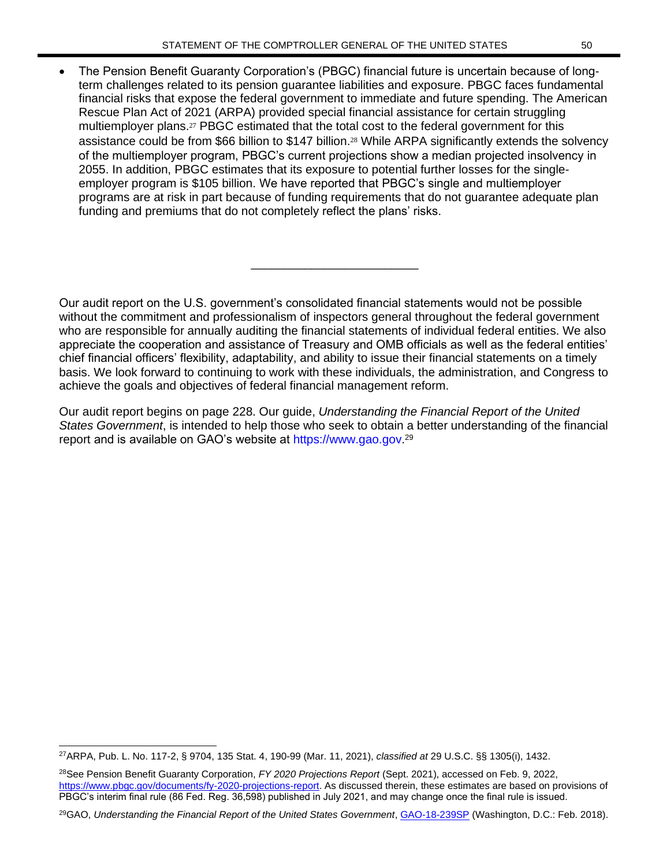• The Pension Benefit Guaranty Corporation's (PBGC) financial future is uncertain because of longterm challenges related to its pension guarantee liabilities and exposure. PBGC faces fundamental financial risks that expose the federal government to immediate and future spending. The American Rescue Plan Act of 2021 (ARPA) provided special financial assistance for certain struggling multiemployer plans.<sup>27</sup> PBGC estimated that the total cost to the federal government for this assistance could be from \$66 billion to \$147 billion.<sup>28</sup> While ARPA significantly extends the solvency of the multiemployer program, PBGC's current projections show a median projected insolvency in 2055. In addition, PBGC estimates that its exposure to potential further losses for the singleemployer program is \$105 billion. We have reported that PBGC's single and multiemployer programs are at risk in part because of funding requirements that do not guarantee adequate plan funding and premiums that do not completely reflect the plans' risks.

Our audit report on the U.S. government's consolidated financial statements would not be possible without the commitment and professionalism of inspectors general throughout the federal government who are responsible for annually auditing the financial statements of individual federal entities. We also appreciate the cooperation and assistance of Treasury and OMB officials as well as the federal entities' chief financial officers' flexibility, adaptability, and ability to issue their financial statements on a timely basis. We look forward to continuing to work with these individuals, the administration, and Congress to achieve the goals and objectives of federal financial management reform.

\_\_\_\_\_\_\_\_\_\_\_\_\_\_\_\_\_\_\_\_\_\_\_\_\_

Our audit report begins on page 228. Our guide, *Understanding the Financial Report of the United States Government*, is intended to help those who seek to obtain a better understanding of the financial report and is available on GAO's website at [https://www.gao.gov.](https://www.gao.gov/)<sup>29</sup>

<sup>27</sup>ARPA, Pub. L. No. 117-2, § 9704, 135 Stat. 4, 190-99 (Mar. 11, 2021), *classified at* 29 U.S.C. §§ 1305(i), 1432.

<sup>28</sup>See Pension Benefit Guaranty Corporation, *FY 2020 Projections Report* (Sept. 2021), accessed on Feb. 9, 2022, [https://www.pbgc.gov/documents/fy-2020-projections-report.](https://www.pbgc.gov/documents/fy-2020-projections-report) As discussed therein, these estimates are based on provisions of PBGC's interim final rule (86 Fed. Reg. 36,598) published in July 2021, and may change once the final rule is issued.

<sup>29</sup>GAO, *Understanding the Financial Report of the United States Government*, [GAO-18-239SP](https://www.gao.gov/products/GAO-18-239SP) (Washington, D.C.: Feb. 2018).